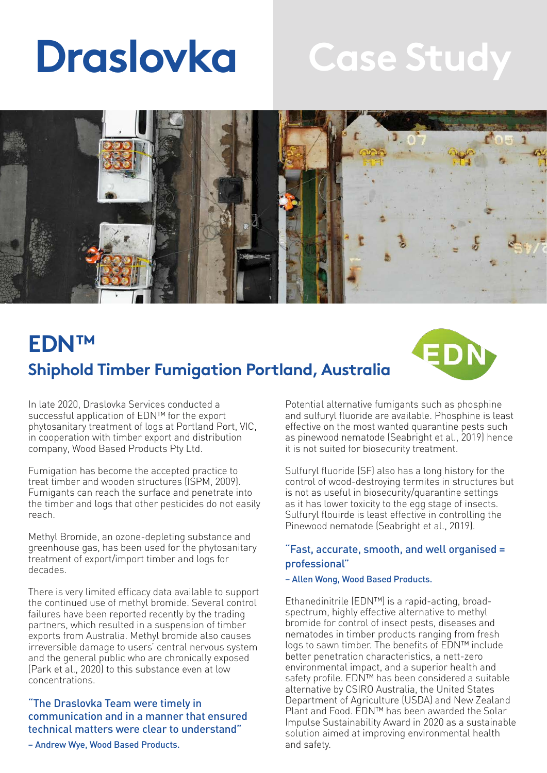# **Draslovka**

# **Case Study**



# **EDN™ Shiphold Timber Fumigation Portland, Australia**



In late 2020, Draslovka Services conducted a successful application of EDN™ for the export phytosanitary treatment of logs at Portland Port, VIC, in cooperation with timber export and distribution company, Wood Based Products Pty Ltd.

Fumigation has become the accepted practice to treat timber and wooden structures (ISPM, 2009). Fumigants can reach the surface and penetrate into the timber and logs that other pesticides do not easily reach.

Methyl Bromide, an ozone-depleting substance and greenhouse gas, has been used for the phytosanitary treatment of export/import timber and logs for decades.

There is very limited efficacy data available to support the continued use of methyl bromide. Several control failures have been reported recently by the trading partners, which resulted in a suspension of timber exports from Australia. Methyl bromide also causes irreversible damage to users' central nervous system and the general public who are chronically exposed (Park et al., 2020) to this substance even at low concentrations.

### "The Draslovka Team were timely in communication and in a manner that ensured technical matters were clear to understand"

– Andrew Wye, Wood Based Products.

Potential alternative fumigants such as phosphine and sulfuryl fluoride are available. Phosphine is least effective on the most wanted quarantine pests such as pinewood nematode (Seabright et al., 2019) hence it is not suited for biosecurity treatment.

Sulfuryl fluoride (SF) also has a long history for the control of wood-destroying termites in structures but is not as useful in biosecurity/quarantine settings as it has lower toxicity to the egg stage of insects. Sulfuryl flouirde is least effective in controlling the Pinewood nematode (Seabright et al., 2019).

### "Fast, accurate, smooth, and well organised = professional"

#### – Allen Wong, Wood Based Products.

Ethanedinitrile (EDN™) is a rapid-acting, broadspectrum, highly effective alternative to methyl bromide for control of insect pests, diseases and nematodes in timber products ranging from fresh logs to sawn timber. The benefits of EDN™ include better penetration characteristics, a nett-zero environmental impact, and a superior health and safety profile. EDN<sup>™</sup> has been considered a suitable alternative by CSIRO Australia, the United States Department of Agriculture (USDA) and New Zealand Plant and Food. EDN™ has been awarded the Solar Impulse Sustainability Award in 2020 as a sustainable solution aimed at improving environmental health and safety.